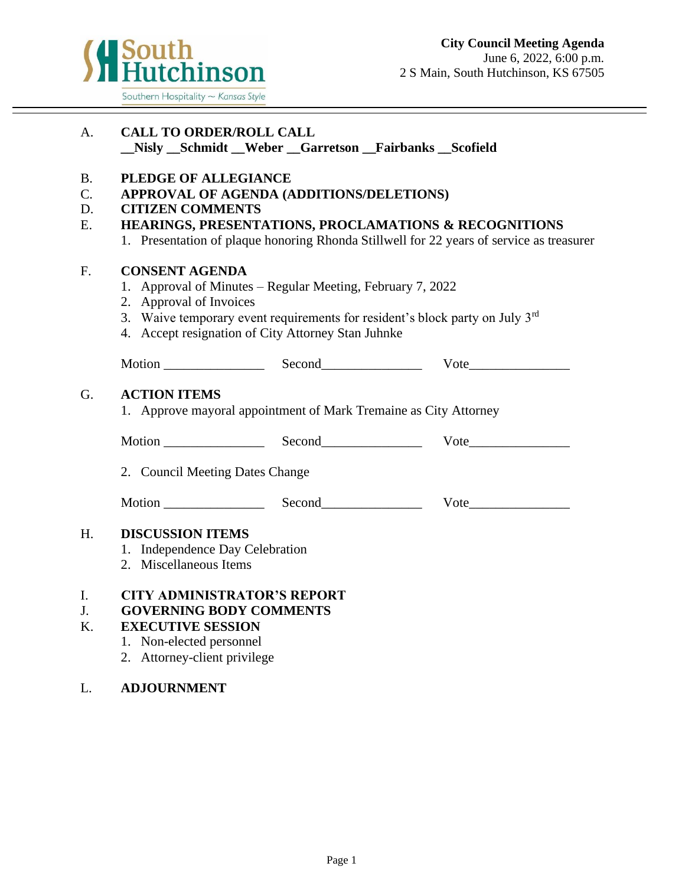

| A.                          | <b>CALL TO ORDER/ROLL CALL</b>                                                                                                                                                                                                                   | Nisly Schmidt Weber Garretson Fairbanks Scofield                                                                                             |                           |  |
|-----------------------------|--------------------------------------------------------------------------------------------------------------------------------------------------------------------------------------------------------------------------------------------------|----------------------------------------------------------------------------------------------------------------------------------------------|---------------------------|--|
| <b>B.</b><br>C.<br>D.<br>Ε. | PLEDGE OF ALLEGIANCE<br>APPROVAL OF AGENDA (ADDITIONS/DELETIONS)<br><b>CITIZEN COMMENTS</b><br>HEARINGS, PRESENTATIONS, PROCLAMATIONS & RECOGNITIONS<br>1. Presentation of plaque honoring Rhonda Stillwell for 22 years of service as treasurer |                                                                                                                                              |                           |  |
| F.                          | <b>CONSENT AGENDA</b><br>2. Approval of Invoices<br>4. Accept resignation of City Attorney Stan Juhnke                                                                                                                                           | 1. Approval of Minutes – Regular Meeting, February 7, 2022<br>3. Waive temporary event requirements for resident's block party on July $3rd$ |                           |  |
|                             |                                                                                                                                                                                                                                                  |                                                                                                                                              |                           |  |
| G.                          | <b>ACTION ITEMS</b>                                                                                                                                                                                                                              | 1. Approve mayoral appointment of Mark Tremaine as City Attorney                                                                             |                           |  |
|                             |                                                                                                                                                                                                                                                  |                                                                                                                                              |                           |  |
|                             | 2. Council Meeting Dates Change                                                                                                                                                                                                                  |                                                                                                                                              |                           |  |
|                             |                                                                                                                                                                                                                                                  |                                                                                                                                              | <b>V</b> ote and <b>V</b> |  |
| H.                          | <b>DISCUSSION ITEMS</b><br>1. Independence Day Celebration<br>2. Miscellaneous Items                                                                                                                                                             |                                                                                                                                              |                           |  |
| I.<br>J <sub>r</sub><br>K.  | <b>CITY ADMINISTRATOR'S REPORT</b><br><b>GOVERNING BODY COMMENTS</b><br><b>EXECUTIVE SESSION</b><br>1. Non-elected personnel<br>2. Attorney-client privilege                                                                                     |                                                                                                                                              |                           |  |

## L. **ADJOURNMENT**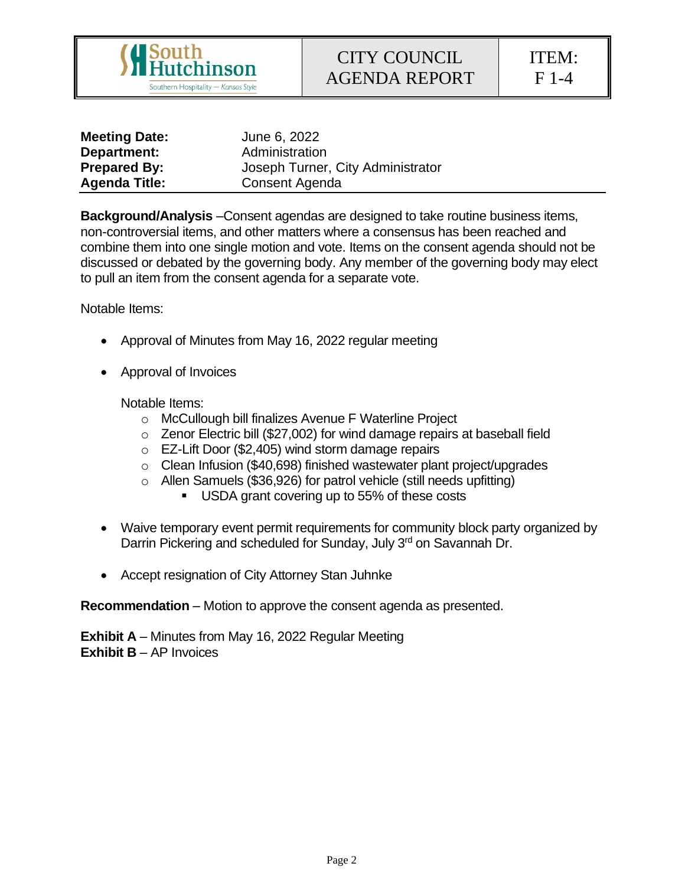

ITEM: F 1-4

| <b>Meeting Date:</b> | June 6, 2022                      |
|----------------------|-----------------------------------|
| Department:          | Administration                    |
| <b>Prepared By:</b>  | Joseph Turner, City Administrator |
| <b>Agenda Title:</b> | Consent Agenda                    |

**Background/Analysis** –Consent agendas are designed to take routine business items, non-controversial items, and other matters where a consensus has been reached and combine them into one single motion and vote. Items on the consent agenda should not be discussed or debated by the governing body. Any member of the governing body may elect to pull an item from the consent agenda for a separate vote.

Notable Items:

- Approval of Minutes from May 16, 2022 regular meeting
- Approval of Invoices

Notable Items:

- o McCullough bill finalizes Avenue F Waterline Project
- o Zenor Electric bill (\$27,002) for wind damage repairs at baseball field
- o EZ-Lift Door (\$2,405) wind storm damage repairs
- o Clean Infusion (\$40,698) finished wastewater plant project/upgrades
- o Allen Samuels (\$36,926) for patrol vehicle (still needs upfitting)
	- USDA grant covering up to 55% of these costs
- Waive temporary event permit requirements for community block party organized by Darrin Pickering and scheduled for Sunday, July 3<sup>rd</sup> on Savannah Dr.
- Accept resignation of City Attorney Stan Juhnke

**Recommendation** – Motion to approve the consent agenda as presented.

**Exhibit A** – Minutes from May 16, 2022 Regular Meeting **Exhibit B** – AP Invoices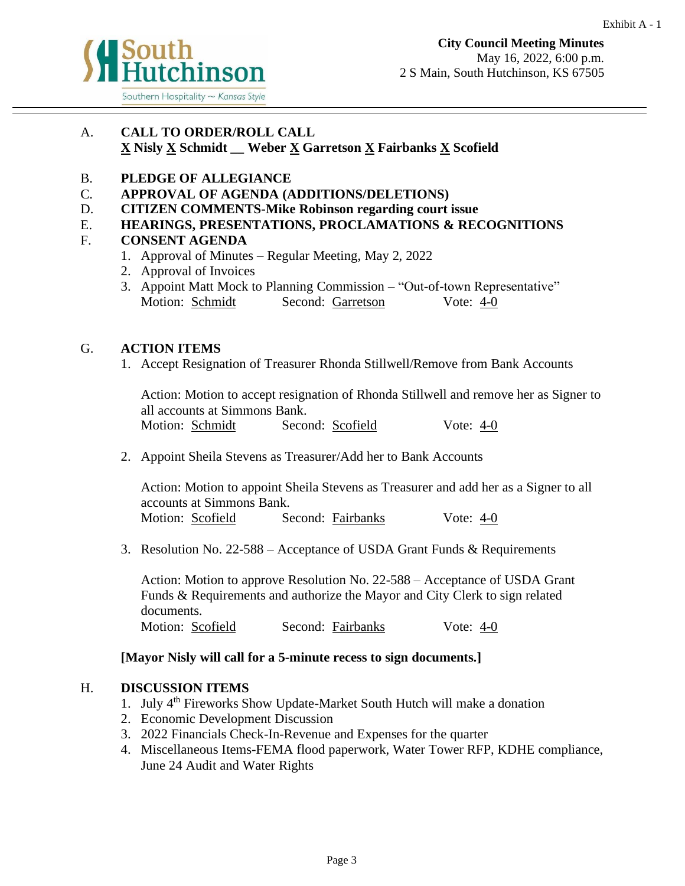

## A. **CALL TO ORDER/ROLL CALL X Nisly X Schmidt \_\_ Weber X Garretson X Fairbanks X Scofield**

## B. **PLEDGE OF ALLEGIANCE**

- C. **APPROVAL OF AGENDA (ADDITIONS/DELETIONS)**
- D. **CITIZEN COMMENTS-Mike Robinson regarding court issue**
- E. **HEARINGS, PRESENTATIONS, PROCLAMATIONS & RECOGNITIONS**

## F. **CONSENT AGENDA**

- 1. Approval of Minutes Regular Meeting, May 2, 2022
- 2. Approval of Invoices
- 3. Appoint Matt Mock to Planning Commission "Out-of-town Representative" Motion: Schmidt Second: Garretson Vote: 4-0

## G. **ACTION ITEMS**

1. Accept Resignation of Treasurer Rhonda Stillwell/Remove from Bank Accounts

Action: Motion to accept resignation of Rhonda Stillwell and remove her as Signer to all accounts at Simmons Bank. Motion: Schmidt Second: Scofield Vote: 4-0

2. Appoint Sheila Stevens as Treasurer/Add her to Bank Accounts

Action: Motion to appoint Sheila Stevens as Treasurer and add her as a Signer to all accounts at Simmons Bank. Motion: Scofield Second: Fairbanks Vote: 4-0

3. Resolution No. 22-588 – Acceptance of USDA Grant Funds & Requirements

Action: Motion to approve Resolution No. 22-588 – Acceptance of USDA Grant Funds & Requirements and authorize the Mayor and City Clerk to sign related documents.

Motion: Scofield Second: Fairbanks Vote: 4-0

## **[Mayor Nisly will call for a 5-minute recess to sign documents.]**

## H. **DISCUSSION ITEMS**

- 1. July 4th Fireworks Show Update-Market South Hutch will make a donation
- 2. Economic Development Discussion
- 3. 2022 Financials Check-In-Revenue and Expenses for the quarter
- 4. Miscellaneous Items-FEMA flood paperwork, Water Tower RFP, KDHE compliance, June 24 Audit and Water Rights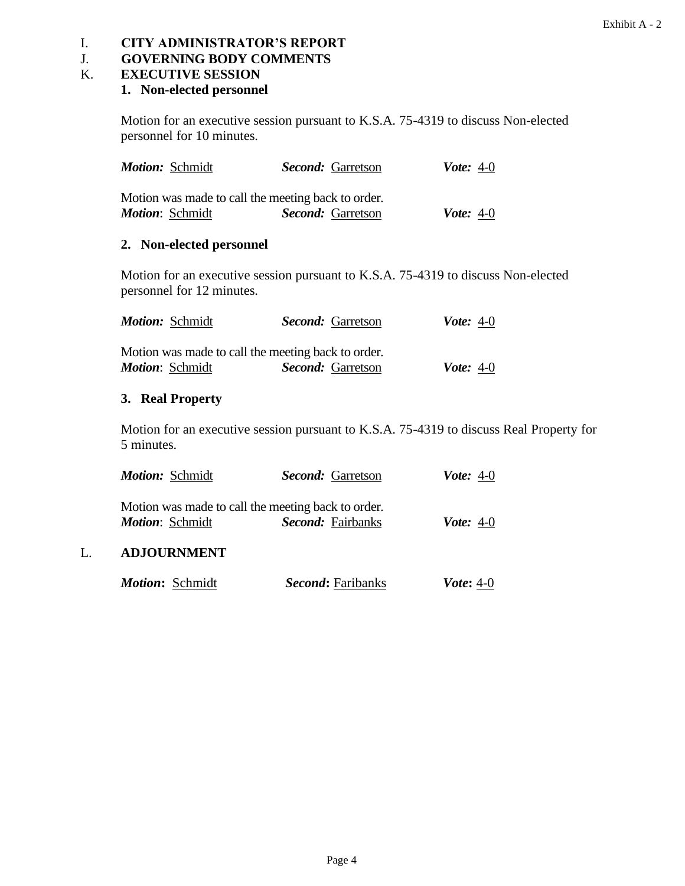### I. **CITY ADMINISTRATOR'S REPORT**

## J. **GOVERNING BODY COMMENTS**

#### K. **EXECUTIVE SESSION**

### **1. Non-elected personnel**

Motion for an executive session pursuant to K.S.A. 75-4319 to discuss Non-elected personnel for 10 minutes.

| <b>Motion:</b> Schmidt | <b>Second:</b> Garretson                           | <b><i>Vote</i></b> : 4-0 |
|------------------------|----------------------------------------------------|--------------------------|
|                        | Motion was made to call the meeting back to order. |                          |
| <b>Motion: Schmidt</b> | Second: Garretson                                  | <i>Vote</i> : $4-0$      |

## **2. Non-elected personnel**

Motion for an executive session pursuant to K.S.A. 75-4319 to discuss Non-elected personnel for 12 minutes.

| <b>Motion: Schmidt</b> | <i>Second:</i> Garretson                           | <b><i>Vote</i></b> : 4-0 |
|------------------------|----------------------------------------------------|--------------------------|
|                        | Motion was made to call the meeting back to order. |                          |
| <i>Motion: Schmidt</i> | <b>Second:</b> Garretson                           | <i>Vote</i> : $4-0$      |

### **3. Real Property**

Motion for an executive session pursuant to K.S.A. 75-4319 to discuss Real Property for 5 minutes.

| <b>Motion:</b> Schmidt | <b>Second:</b> Garretson                                                | <b>Vote:</b> 4-0         |
|------------------------|-------------------------------------------------------------------------|--------------------------|
| <b>Motion: Schmidt</b> | Motion was made to call the meeting back to order.<br>Second: Fairbanks | <b><i>Vote</i></b> : 4-0 |
| <b>ADJOURNMENT</b>     |                                                                         |                          |
| <b>Motion: Schmidt</b> | <b>Second:</b> Faribanks                                                | <i>Vote</i> : 4-0        |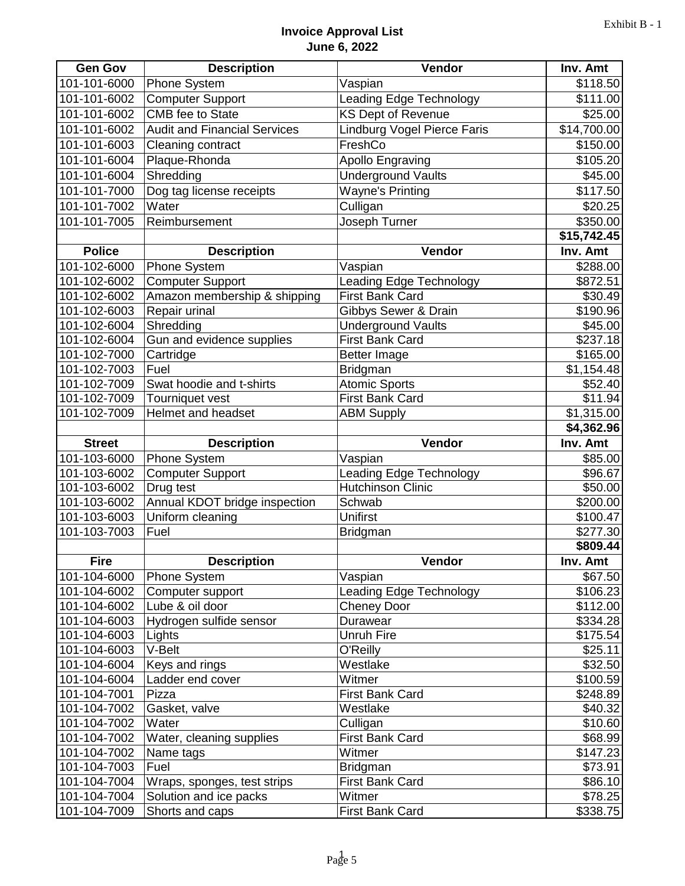## **Invoice Approval List June 6, 2022**

| <b>Gen Gov</b>               | <b>Description</b>                                    | Vendor                             | Inv. Amt           |
|------------------------------|-------------------------------------------------------|------------------------------------|--------------------|
| 101-101-6000                 | <b>Phone System</b>                                   | Vaspian                            | \$118.50           |
| 101-101-6002                 | <b>Computer Support</b>                               | Leading Edge Technology            | \$111.00           |
| 101-101-6002                 | CMB fee to State                                      | <b>KS Dept of Revenue</b>          | \$25.00            |
| 101-101-6002                 | <b>Audit and Financial Services</b>                   | Lindburg Vogel Pierce Faris        | \$14,700.00        |
| 101-101-6003                 | Cleaning contract                                     | FreshCo                            | \$150.00           |
| 101-101-6004                 | Plaque-Rhonda                                         | <b>Apollo Engraving</b>            | \$105.20           |
| 101-101-6004                 | Shredding                                             | <b>Underground Vaults</b>          | \$45.00            |
| 101-101-7000                 | Dog tag license receipts                              | <b>Wayne's Printing</b>            | \$117.50           |
| 101-101-7002                 | Water                                                 | Culligan                           | \$20.25            |
| 101-101-7005                 | Reimbursement                                         | Joseph Turner                      | \$350.00           |
|                              |                                                       |                                    | \$15,742.45        |
| <b>Police</b>                | <b>Description</b>                                    | Vendor                             | Inv. Amt           |
| 101-102-6000                 | <b>Phone System</b>                                   | Vaspian                            | \$288.00           |
| 101-102-6002                 | <b>Computer Support</b>                               | <b>Leading Edge Technology</b>     | \$872.51           |
| 101-102-6002                 | Amazon membership & shipping                          | <b>First Bank Card</b>             | \$30.49            |
| 101-102-6003                 | Repair urinal                                         | Gibbys Sewer & Drain               | \$190.96           |
| 101-102-6004                 | Shredding                                             | <b>Underground Vaults</b>          | \$45.00            |
| 101-102-6004                 | Gun and evidence supplies                             | <b>First Bank Card</b>             | \$237.18           |
| 101-102-7000                 | Cartridge                                             | <b>Better Image</b>                | \$165.00           |
| 101-102-7003                 | Fuel                                                  | Bridgman                           | \$1,154.48         |
| 101-102-7009                 | Swat hoodie and t-shirts                              | <b>Atomic Sports</b>               | \$52.40            |
| 101-102-7009                 | Tourniquet vest                                       | <b>First Bank Card</b>             | \$11.94            |
| 101-102-7009                 | Helmet and headset                                    | <b>ABM Supply</b>                  | \$1,315.00         |
|                              |                                                       |                                    | \$4,362.96         |
| <b>Street</b>                | <b>Description</b>                                    | Vendor                             | Inv. Amt           |
| 101-103-6000                 | Phone System                                          | Vaspian                            | \$85.00            |
| 101-103-6002                 | <b>Computer Support</b>                               | Leading Edge Technology            | \$96.67            |
| 101-103-6002                 | Drug test                                             | <b>Hutchinson Clinic</b><br>Schwab | \$50.00            |
|                              |                                                       |                                    |                    |
| 101-103-6002                 | Annual KDOT bridge inspection                         |                                    | \$200.00           |
| 101-103-6003                 | Uniform cleaning                                      | <b>Unifirst</b>                    | \$100.47           |
| 101-103-7003                 | Fuel                                                  | Bridgman                           | \$277.30           |
|                              |                                                       |                                    | \$809.44           |
| <b>Fire</b>                  | <b>Description</b>                                    | Vendor                             | Inv. Amt           |
| 101-104-6000                 | <b>Phone System</b>                                   | Vaspian                            | \$67.50            |
| 101-104-6002                 | Computer support                                      | <b>Leading Edge Technology</b>     | \$106.23           |
| 101-104-6002                 | Lube & oil door                                       | <b>Cheney Door</b>                 | \$112.00           |
| 101-104-6003                 | Hydrogen sulfide sensor                               | Durawear                           | \$334.28           |
| 101-104-6003                 | Lights                                                | <b>Unruh Fire</b>                  | \$175.54           |
| 101-104-6003                 | V-Belt                                                | O'Reilly                           | \$25.11            |
| 101-104-6004                 | Keys and rings                                        | Westlake                           | \$32.50            |
| 101-104-6004                 | Ladder end cover                                      | Witmer                             | \$100.59           |
| 101-104-7001                 | Pizza                                                 | First Bank Card                    | \$248.89           |
| 101-104-7002                 | Gasket, valve                                         | Westlake                           | \$40.32            |
| 101-104-7002                 | Water                                                 | Culligan                           | \$10.60            |
| 101-104-7002                 | Water, cleaning supplies                              | First Bank Card<br>Witmer          | \$68.99            |
| 101-104-7002                 | Name tags<br>Fuel                                     |                                    | \$147.23           |
| 101-104-7003<br>101-104-7004 |                                                       | Bridgman                           | \$73.91            |
| 101-104-7004                 | Wraps, sponges, test strips<br>Solution and ice packs | First Bank Card<br>Witmer          | \$86.10<br>\$78.25 |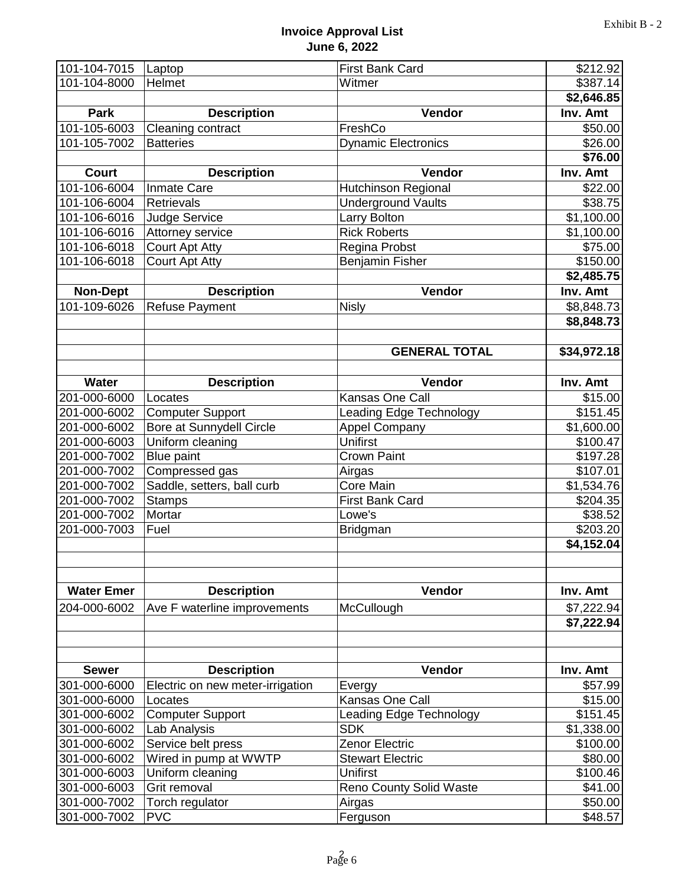## **Invoice Approval List June 6, 2022**

| 101-104-7015<br>Laptop |                                  | <b>First Bank Card</b>         | \$212.92    |
|------------------------|----------------------------------|--------------------------------|-------------|
| 101-104-8000           | Helmet                           | Witmer                         | \$387.14    |
|                        |                                  |                                | \$2,646.85  |
| <b>Park</b>            | <b>Description</b>               | <b>Vendor</b>                  | Inv. Amt    |
| 101-105-6003           | Cleaning contract                | FreshCo                        | \$50.00     |
| 101-105-7002           | <b>Batteries</b>                 | <b>Dynamic Electronics</b>     | \$26.00     |
|                        |                                  |                                | \$76.00     |
| <b>Court</b>           | <b>Description</b>               | Vendor                         | Inv. Amt    |
| 101-106-6004           | <b>Inmate Care</b>               | Hutchinson Regional            | \$22.00     |
| 101-106-6004           | <b>Retrievals</b>                | <b>Underground Vaults</b>      | \$38.75     |
| 101-106-6016           | <b>Judge Service</b>             | Larry Bolton                   | \$1,100.00  |
| 101-106-6016           | Attorney service                 | <b>Rick Roberts</b>            | \$1,100.00  |
| 101-106-6018           | <b>Court Apt Atty</b>            | Regina Probst                  | \$75.00     |
| 101-106-6018           | <b>Court Apt Atty</b>            | Benjamin Fisher                | \$150.00    |
|                        |                                  |                                | \$2,485.75  |
| <b>Non-Dept</b>        | <b>Description</b>               | Vendor                         | Inv. Amt    |
| 101-109-6026           | <b>Refuse Payment</b>            | <b>Nisly</b>                   | \$8,848.73  |
|                        |                                  |                                | \$8,848.73  |
|                        |                                  | <b>GENERAL TOTAL</b>           | \$34,972.18 |
|                        |                                  |                                |             |
| <b>Water</b>           | <b>Description</b>               | Vendor                         | Inv. Amt    |
| 201-000-6000           | Locates                          | Kansas One Call                | \$15.00     |
| 201-000-6002           | <b>Computer Support</b>          | <b>Leading Edge Technology</b> | \$151.45    |
| 201-000-6002           | Bore at Sunnydell Circle         | <b>Appel Company</b>           | \$1,600.00  |
| 201-000-6003           | Uniform cleaning                 | <b>Unifirst</b>                | \$100.47    |
| 201-000-7002           | <b>Blue paint</b>                | <b>Crown Paint</b>             | \$197.28    |
| 201-000-7002           | Compressed gas                   | Airgas                         | \$107.01    |
| 201-000-7002           | Saddle, setters, ball curb       | Core Main                      | \$1,534.76  |
| 201-000-7002           | <b>Stamps</b>                    | <b>First Bank Card</b>         | \$204.35    |
| 201-000-7002           | Mortar                           | Lowe's                         | \$38.52     |
| 201-000-7003           | Fuel                             | Bridgman                       | \$203.20    |
|                        |                                  |                                | \$4,152.04  |
| <b>Water Emer</b>      | <b>Description</b>               | Vendor                         | Inv. Amt    |
| 204-000-6002           | Ave F waterline improvements     | McCullough                     | \$7,222.94  |
|                        |                                  |                                | \$7,222.94  |
| <b>Sewer</b>           | <b>Description</b>               | Vendor                         | Inv. Amt    |
| 301-000-6000           | Electric on new meter-irrigation | Evergy                         | \$57.99     |
| 301-000-6000           | Locates                          | Kansas One Call                | \$15.00     |
| 301-000-6002           | <b>Computer Support</b>          | <b>Leading Edge Technology</b> | \$151.45    |
| 301-000-6002           | Lab Analysis                     | <b>SDK</b>                     | \$1,338.00  |
| 301-000-6002           | Service belt press               | Zenor Electric                 | \$100.00    |
| 301-000-6002           | Wired in pump at WWTP            | <b>Stewart Electric</b>        | \$80.00     |
| 301-000-6003           | Uniform cleaning                 | Unifirst                       | \$100.46    |
| 301-000-6003           | Grit removal                     | Reno County Solid Waste        | \$41.00     |
| 301-000-7002           | Torch regulator                  | Airgas                         | \$50.00     |
| 301-000-7002           | <b>PVC</b>                       | Ferguson                       | \$48.57     |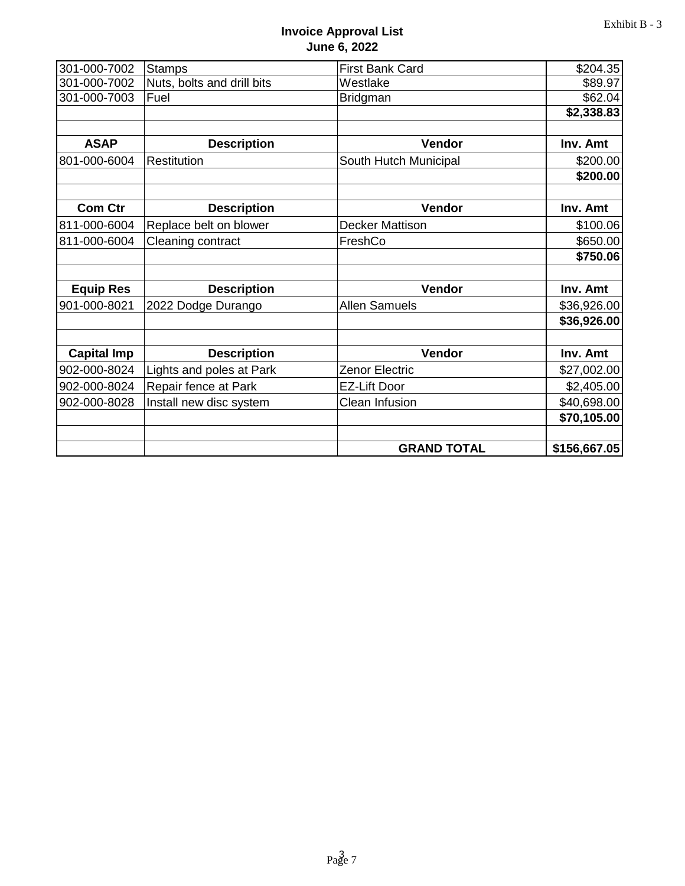## **Invoice Approval List June 6, 2022**

| 301-000-7002       | <b>Stamps</b>              | <b>First Bank Card</b> | \$204.35     |
|--------------------|----------------------------|------------------------|--------------|
| 301-000-7002       | Nuts, bolts and drill bits | Westlake               | \$89.97      |
| 301-000-7003       | Fuel                       | Bridgman               | \$62.04      |
|                    |                            |                        | \$2,338.83   |
| <b>ASAP</b>        | <b>Description</b>         | Vendor                 | Inv. Amt     |
| 801-000-6004       | Restitution                | South Hutch Municipal  | \$200.00     |
|                    |                            |                        | \$200.00     |
| <b>Com Ctr</b>     | <b>Description</b>         | Vendor                 | Inv. Amt     |
| 811-000-6004       | Replace belt on blower     | <b>Decker Mattison</b> | \$100.06     |
| 811-000-6004       | Cleaning contract          | FreshCo                | \$650.00     |
|                    |                            |                        | \$750.06     |
| <b>Equip Res</b>   | <b>Description</b>         | Vendor                 | Inv. Amt     |
| 901-000-8021       | 2022 Dodge Durango         | <b>Allen Samuels</b>   | \$36,926.00  |
|                    |                            |                        | \$36,926.00  |
| <b>Capital Imp</b> | <b>Description</b>         | Vendor                 | Inv. Amt     |
| 902-000-8024       | Lights and poles at Park   | Zenor Electric         | \$27,002.00  |
| 902-000-8024       | Repair fence at Park       | <b>EZ-Lift Door</b>    | \$2,405.00   |
| 902-000-8028       | Install new disc system    | Clean Infusion         | \$40,698.00  |
|                    |                            |                        | \$70,105.00  |
|                    |                            | <b>GRAND TOTAL</b>     | \$156,667.05 |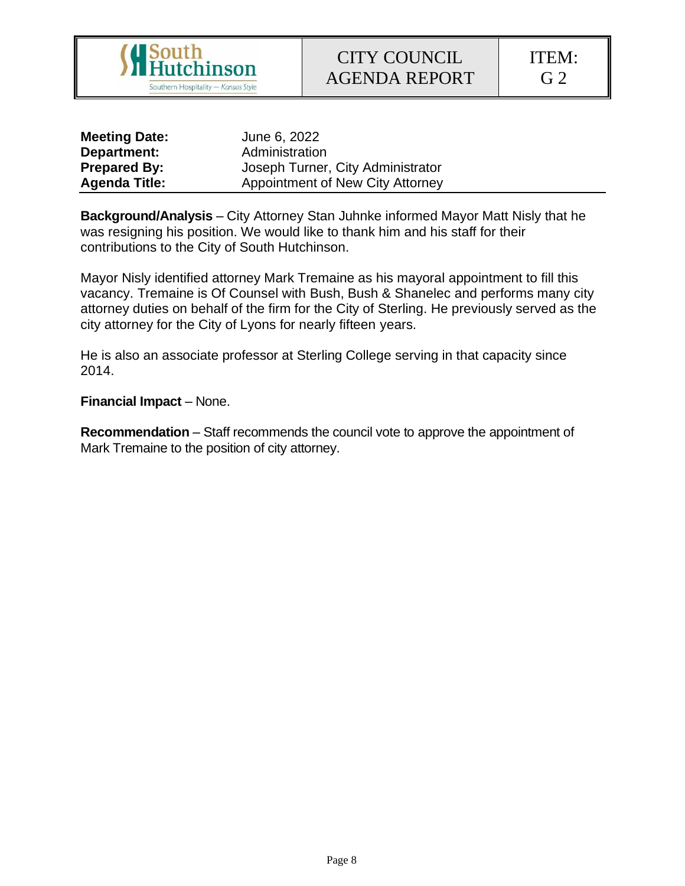

ITEM: G 2

| <b>Meeting Date:</b> | June 6, 2022                      |
|----------------------|-----------------------------------|
| Department:          | Administration                    |
| <b>Prepared By:</b>  | Joseph Turner, City Administrator |
| <b>Agenda Title:</b> | Appointment of New City Attorney  |

**Background/Analysis** – City Attorney Stan Juhnke informed Mayor Matt Nisly that he was resigning his position. We would like to thank him and his staff for their contributions to the City of South Hutchinson.

Mayor Nisly identified attorney Mark Tremaine as his mayoral appointment to fill this vacancy. Tremaine is Of Counsel with Bush, Bush & Shanelec and performs many city attorney duties on behalf of the firm for the City of Sterling. He previously served as the city attorney for the City of Lyons for nearly fifteen years.

He is also an associate professor at Sterling College serving in that capacity since 2014.

**Financial Impact** – None.

**Recommendation** – Staff recommends the council vote to approve the appointment of Mark Tremaine to the position of city attorney.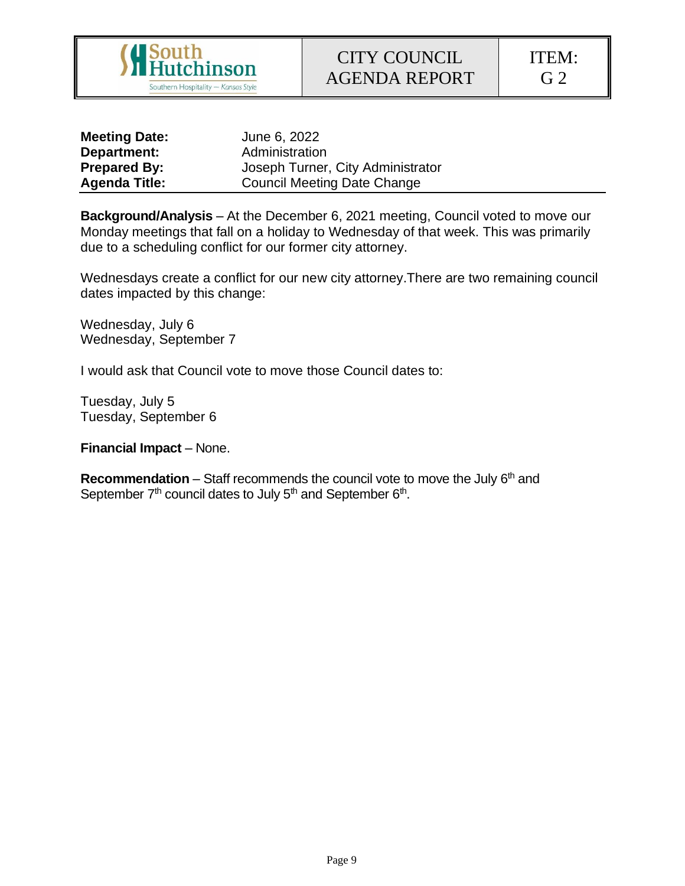

ITEM: G 2

| <b>Meeting Date:</b> | June 6, 2022                       |
|----------------------|------------------------------------|
| Department:          | Administration                     |
| <b>Prepared By:</b>  | Joseph Turner, City Administrator  |
| <b>Agenda Title:</b> | <b>Council Meeting Date Change</b> |

**Background/Analysis** – At the December 6, 2021 meeting, Council voted to move our Monday meetings that fall on a holiday to Wednesday of that week. This was primarily due to a scheduling conflict for our former city attorney.

Wednesdays create a conflict for our new city attorney.There are two remaining council dates impacted by this change:

Wednesday, July 6 Wednesday, September 7

I would ask that Council vote to move those Council dates to:

Tuesday, July 5 Tuesday, September 6

**Financial Impact** – None.

**Recommendation** – Staff recommends the council vote to move the July 6<sup>th</sup> and September  $7<sup>th</sup>$  council dates to July  $5<sup>th</sup>$  and September  $6<sup>th</sup>$ .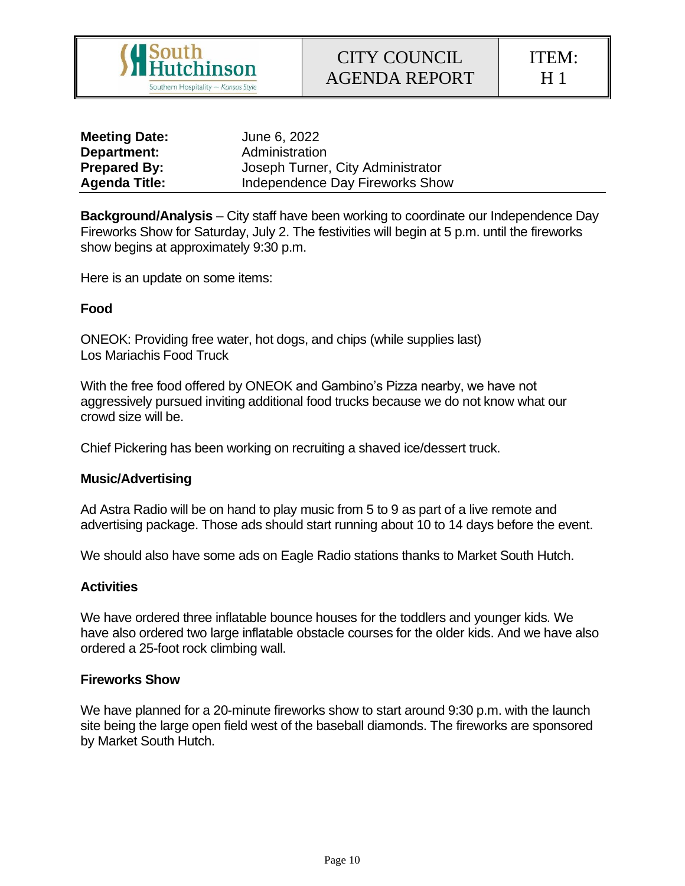

ITEM: H 1

| <b>Meeting Date:</b> | June 6, 2022                      |
|----------------------|-----------------------------------|
| Department:          | Administration                    |
| <b>Prepared By:</b>  | Joseph Turner, City Administrator |
| <b>Agenda Title:</b> | Independence Day Fireworks Show   |

**Background/Analysis** – City staff have been working to coordinate our Independence Day Fireworks Show for Saturday, July 2. The festivities will begin at 5 p.m. until the fireworks show begins at approximately 9:30 p.m.

Here is an update on some items:

#### **Food**

ONEOK: Providing free water, hot dogs, and chips (while supplies last) Los Mariachis Food Truck

With the free food offered by ONEOK and Gambino's Pizza nearby, we have not aggressively pursued inviting additional food trucks because we do not know what our crowd size will be.

Chief Pickering has been working on recruiting a shaved ice/dessert truck.

#### **Music/Advertising**

Ad Astra Radio will be on hand to play music from 5 to 9 as part of a live remote and advertising package. Those ads should start running about 10 to 14 days before the event.

We should also have some ads on Eagle Radio stations thanks to Market South Hutch.

#### **Activities**

We have ordered three inflatable bounce houses for the toddlers and younger kids. We have also ordered two large inflatable obstacle courses for the older kids. And we have also ordered a 25-foot rock climbing wall.

#### **Fireworks Show**

We have planned for a 20-minute fireworks show to start around 9:30 p.m. with the launch site being the large open field west of the baseball diamonds. The fireworks are sponsored by Market South Hutch.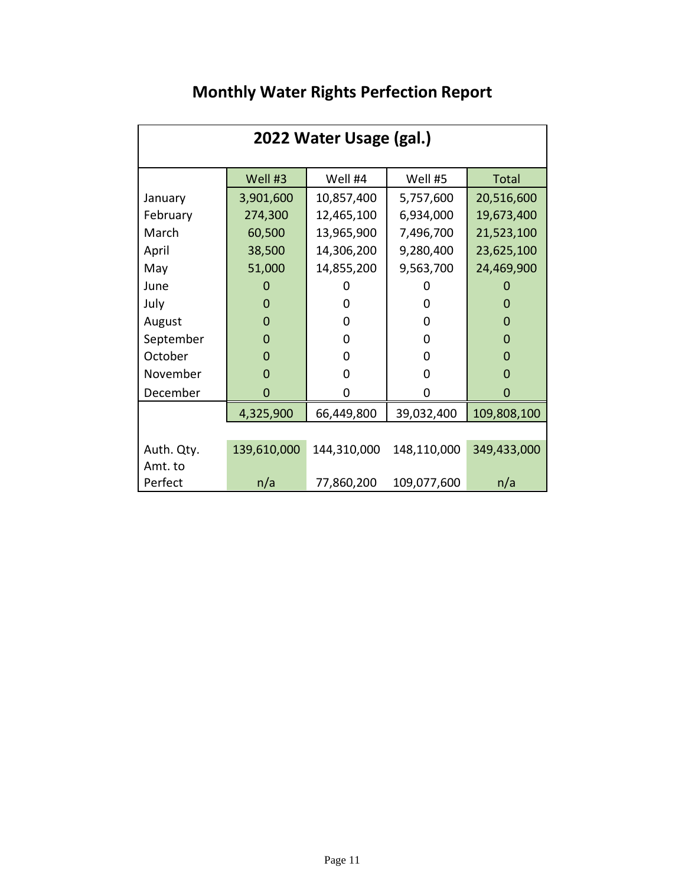| 2022 Water Usage (gal.) |             |             |             |              |  |
|-------------------------|-------------|-------------|-------------|--------------|--|
|                         | Well #3     | Well #4     | Well #5     | <b>Total</b> |  |
| January                 | 3,901,600   | 10,857,400  | 5,757,600   | 20,516,600   |  |
| February                | 274,300     | 12,465,100  | 6,934,000   | 19,673,400   |  |
| March                   | 60,500      | 13,965,900  | 7,496,700   | 21,523,100   |  |
| April                   | 38,500      | 14,306,200  | 9,280,400   | 23,625,100   |  |
| May                     | 51,000      | 14,855,200  | 9,563,700   | 24,469,900   |  |
| June                    | 0           |             |             |              |  |
| July                    | $\Omega$    | 0           | 0           | O            |  |
| August                  | 0           | 0           | 0           | 0            |  |
| September               | 0           | 0           | 0           | 0            |  |
| October                 | $\Omega$    | 0           | 0           | 0            |  |
| November                | $\Omega$    | 0           | 0           | O            |  |
| December                | $\Omega$    | 0           | 0           | O            |  |
|                         | 4,325,900   | 66,449,800  | 39,032,400  | 109,808,100  |  |
|                         |             |             |             |              |  |
| Auth. Qty.              | 139,610,000 | 144,310,000 | 148,110,000 | 349,433,000  |  |
| Amt. to                 |             |             |             |              |  |
| Perfect                 | n/a         | 77,860,200  | 109,077,600 | n/a          |  |

# **Monthly Water Rights Perfection Report**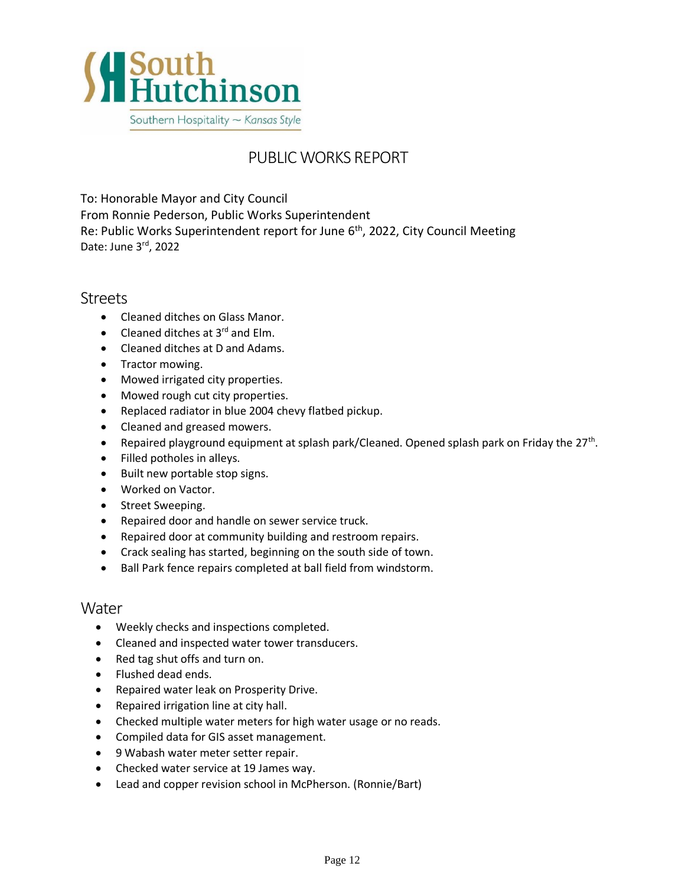

## PUBLIC WORKS REPORT

To: Honorable Mayor and City Council From Ronnie Pederson, Public Works Superintendent Re: Public Works Superintendent report for June 6<sup>th</sup>, 2022, City Council Meeting Date: June 3<sup>rd</sup>, 2022

## Streets

- Cleaned ditches on Glass Manor.
- Cleaned ditches at  $3^{rd}$  and Elm.
- Cleaned ditches at D and Adams.
- Tractor mowing.
- Mowed irrigated city properties.
- Mowed rough cut city properties.
- Replaced radiator in blue 2004 chevy flatbed pickup.
- Cleaned and greased mowers.
- Repaired playground equipment at splash park/Cleaned. Opened splash park on Friday the 27<sup>th</sup>.
- Filled potholes in alleys.
- Built new portable stop signs.
- Worked on Vactor.
- Street Sweeping.
- Repaired door and handle on sewer service truck.
- Repaired door at community building and restroom repairs.
- Crack sealing has started, beginning on the south side of town.
- Ball Park fence repairs completed at ball field from windstorm.

## **Water**

- Weekly checks and inspections completed.
- Cleaned and inspected water tower transducers.
- Red tag shut offs and turn on.
- Flushed dead ends.
- Repaired water leak on Prosperity Drive.
- Repaired irrigation line at city hall.
- Checked multiple water meters for high water usage or no reads.
- Compiled data for GIS asset management.
- 9 Wabash water meter setter repair.
- Checked water service at 19 James way.
- Lead and copper revision school in McPherson. (Ronnie/Bart)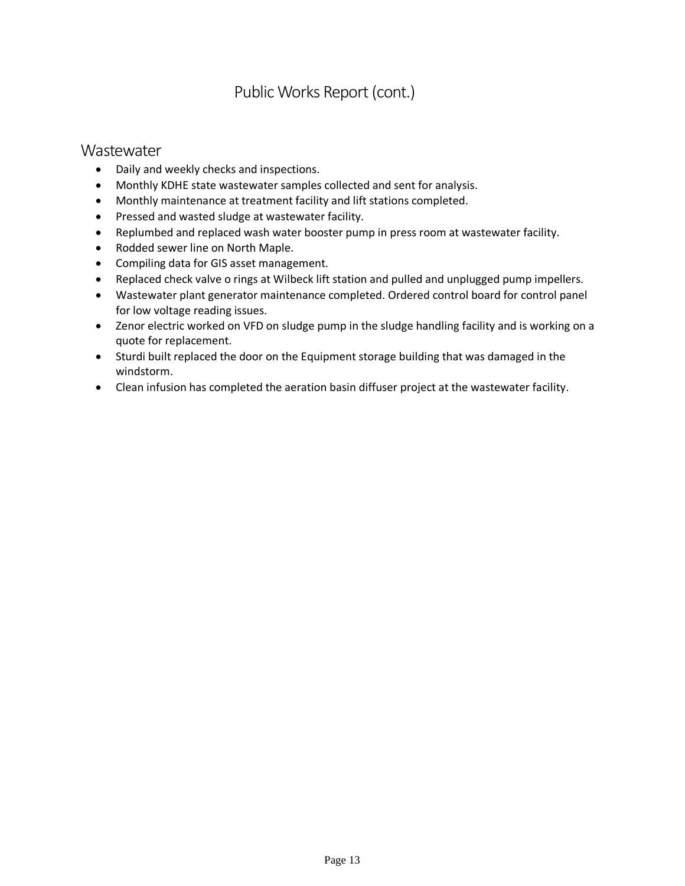## Public Works Report (cont.)

## **Wastewater**

- Daily and weekly checks and inspections.
- Monthly KDHE state wastewater samples collected and sent for analysis.
- Monthly maintenance at treatment facility and lift stations completed.
- Pressed and wasted sludge at wastewater facility.
- Replumbed and replaced wash water booster pump in press room at wastewater facility.
- Rodded sewer line on North Maple.
- Compiling data for GIS asset management.
- Replaced check valve o rings at Wilbeck lift station and pulled and unplugged pump impellers.
- Wastewater plant generator maintenance completed. Ordered control board for control panel for low voltage reading issues.
- Zenor electric worked on VFD on sludge pump in the sludge handling facility and is working on a quote for replacement.
- Sturdi built replaced the door on the Equipment storage building that was damaged in the windstorm.
- Clean infusion has completed the aeration basin diffuser project at the wastewater facility.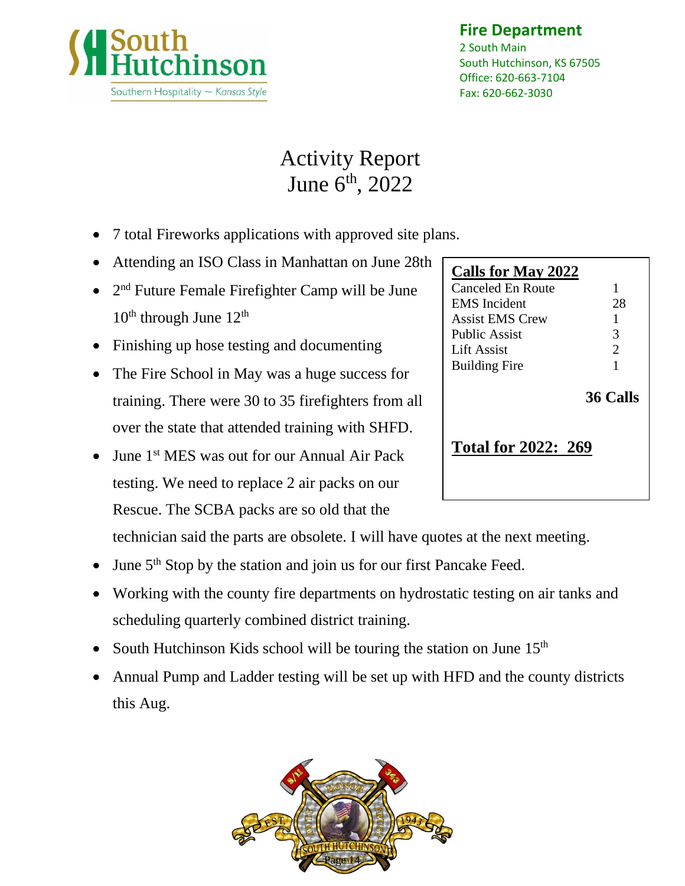

## **Fire Department**

2 South Main South Hutchinson, KS 67505 Office: 620-663-7104 Fax: 620-662-3030

# Activity Report June 6<sup>th</sup>, 2022

- 7 total Fireworks applications with approved site plans.
- Attending an ISO Class in Manhattan on June 28th
- $\bullet$  2<sup>nd</sup> Future Female Firefighter Camp will be June  $10^{th}$  through June  $12^{th}$
- Finishing up hose testing and documenting
- The Fire School in May was a huge success for training. There were 30 to 35 firefighters from all over the state that attended training with SHFD.
- June 1<sup>st</sup> MES was out for our Annual Air Pack testing. We need to replace 2 air packs on our Rescue. The SCBA packs are so old that the

technician said the parts are obsolete. I will have quotes at the next meeting.

- June 5<sup>th</sup> Stop by the station and join us for our first Pancake Feed.
- Working with the county fire departments on hydrostatic testing on air tanks and scheduling quarterly combined district training.
- South Hutchinson Kids school will be touring the station on June  $15<sup>th</sup>$
- Annual Pump and Ladder testing will be set up with HFD and the county districts this Aug.



| <b>Calls for May 2022</b>  |                 |
|----------------------------|-----------------|
| Canceled En Route          | 1               |
| <b>EMS</b> Incident        | 28              |
| <b>Assist EMS Crew</b>     | 1               |
| Public Assist              | 3               |
| Lift Assist                | $\overline{2}$  |
| <b>Building Fire</b>       | 1               |
|                            | <b>36 Calls</b> |
| <b>Total for 2022: 269</b> |                 |